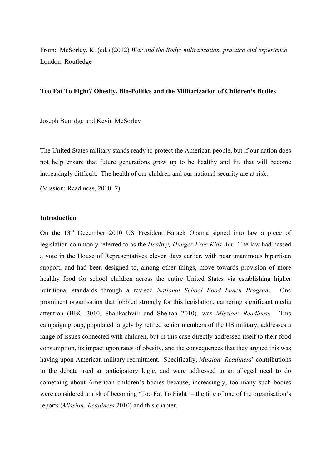From: McSorley, K. (ed.) (2012) *War and the Body: militarization, practice and experience* London: Routledge

# **Too Fat To Fight? Obesity, Bio-Politics and the Militarization of Children's Bodies**

Joseph Burridge and Kevin McSorley

The United States military stands ready to protect the American people, but if our nation does not help ensure that future generations grow up to be healthy and fit, that will become increasingly difficult. The health of our children and our national security are at risk.

(Mission: Readiness, 2010: 7)

## **Introduction**

On the 13th December 2010 US President Barack Obama signed into law a piece of legislation commonly referred to as the *Healthy, Hunger-Free Kids Act*. The law had passed a vote in the House of Representatives eleven days earlier, with near unanimous bipartisan support, and had been designed to, among other things, move towards provision of more healthy food for school children across the entire United States via establishing higher nutritional standards through a revised *National School Food Lunch Program*. One prominent organisation that lobbied strongly for this legislation, garnering significant media attention (BBC 2010, Shalikashvili and Shelton 2010), was *Mission: Readiness*. This campaign group, populated largely by retired senior members of the US military, addresses a range of issues connected with children, but in this case directly addressed itself to their food consumption, its impact upon rates of obesity, and the consequences that they argued this was having upon American military recruitment. Specifically, *Mission: Readiness*' contributions to the debate used an anticipatory logic, and were addressed to an alleged need to do something about American children's bodies because, increasingly, too many such bodies were considered at risk of becoming 'Too Fat To Fight' – the title of one of the organisation's reports (*Mission: Readiness* 2010) and this chapter.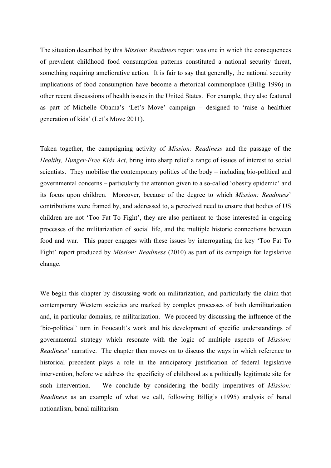The situation described by this *Mission: Readiness* report was one in which the consequences of prevalent childhood food consumption patterns constituted a national security threat, something requiring ameliorative action. It is fair to say that generally, the national security implications of food consumption have become a rhetorical commonplace (Billig 1996) in other recent discussions of health issues in the United States. For example, they also featured as part of Michelle Obama's 'Let's Move' campaign – designed to 'raise a healthier generation of kids' (Let's Move 2011).

Taken together, the campaigning activity of *Mission: Readiness* and the passage of the *Healthy, Hunger-Free Kids Act*, bring into sharp relief a range of issues of interest to social scientists. They mobilise the contemporary politics of the body – including bio-political and governmental concerns – particularly the attention given to a so-called 'obesity epidemic' and its focus upon children. Moreover, because of the degree to which *Mission: Readiness*' contributions were framed by, and addressed to, a perceived need to ensure that bodies of US children are not 'Too Fat To Fight', they are also pertinent to those interested in ongoing processes of the militarization of social life, and the multiple historic connections between food and war. This paper engages with these issues by interrogating the key 'Too Fat To Fight' report produced by *Mission: Readiness* (2010) as part of its campaign for legislative change.

We begin this chapter by discussing work on militarization, and particularly the claim that contemporary Western societies are marked by complex processes of both demilitarization and, in particular domains, re-militarization. We proceed by discussing the influence of the 'bio-political' turn in Foucault's work and his development of specific understandings of governmental strategy which resonate with the logic of multiple aspects of *Mission: Readiness*' narrative. The chapter then moves on to discuss the ways in which reference to historical precedent plays a role in the anticipatory justification of federal legislative intervention, before we address the specificity of childhood as a politically legitimate site for such intervention. We conclude by considering the bodily imperatives of *Mission: Readiness* as an example of what we call, following Billig's (1995) analysis of banal nationalism, banal militarism.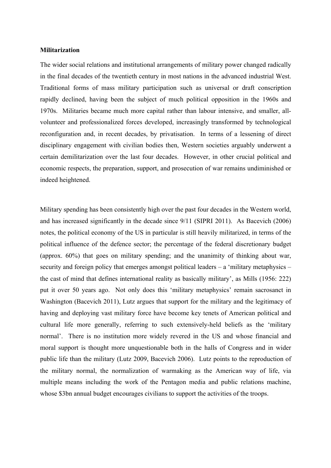### **Militarization**

The wider social relations and institutional arrangements of military power changed radically in the final decades of the twentieth century in most nations in the advanced industrial West. Traditional forms of mass military participation such as universal or draft conscription rapidly declined, having been the subject of much political opposition in the 1960s and 1970s. Militaries became much more capital rather than labour intensive, and smaller, allvolunteer and professionalized forces developed, increasingly transformed by technological reconfiguration and, in recent decades, by privatisation. In terms of a lessening of direct disciplinary engagement with civilian bodies then, Western societies arguably underwent a certain demilitarization over the last four decades. However, in other crucial political and economic respects, the preparation, support, and prosecution of war remains undiminished or indeed heightened.

Military spending has been consistently high over the past four decades in the Western world, and has increased significantly in the decade since 9/11 (SIPRI 2011). As Bacevich (2006) notes, the political economy of the US in particular is still heavily militarized, in terms of the political influence of the defence sector; the percentage of the federal discretionary budget (approx. 60%) that goes on military spending; and the unanimity of thinking about war, security and foreign policy that emerges amongst political leaders – a 'military metaphysics – the cast of mind that defines international reality as basically military', as Mills (1956: 222) put it over 50 years ago. Not only does this 'military metaphysics' remain sacrosanct in Washington (Bacevich 2011), Lutz argues that support for the military and the legitimacy of having and deploying vast military force have become key tenets of American political and cultural life more generally, referring to such extensively-held beliefs as the 'military normal'. There is no institution more widely revered in the US and whose financial and moral support is thought more unquestionable both in the halls of Congress and in wider public life than the military (Lutz 2009, Bacevich 2006). Lutz points to the reproduction of the military normal, the normalization of warmaking as the American way of life, via multiple means including the work of the Pentagon media and public relations machine, whose \$3bn annual budget encourages civilians to support the activities of the troops.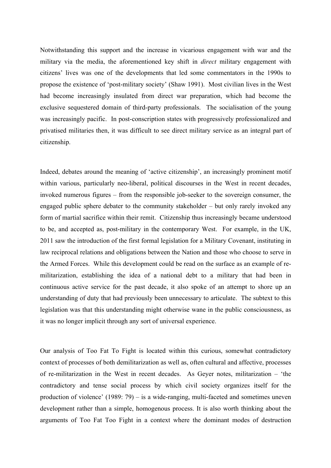Notwithstanding this support and the increase in vicarious engagement with war and the military via the media, the aforementioned key shift in *direct* military engagement with citizens' lives was one of the developments that led some commentators in the 1990s to propose the existence of 'post-military society' (Shaw 1991). Most civilian lives in the West had become increasingly insulated from direct war preparation, which had become the exclusive sequestered domain of third-party professionals. The socialisation of the young was increasingly pacific. In post-conscription states with progressively professionalized and privatised militaries then, it was difficult to see direct military service as an integral part of citizenship.

Indeed, debates around the meaning of 'active citizenship', an increasingly prominent motif within various, particularly neo-liberal, political discourses in the West in recent decades, invoked numerous figures – from the responsible job-seeker to the sovereign consumer, the engaged public sphere debater to the community stakeholder – but only rarely invoked any form of martial sacrifice within their remit. Citizenship thus increasingly became understood to be, and accepted as, post-military in the contemporary West. For example, in the UK, 2011 saw the introduction of the first formal legislation for a Military Covenant, instituting in law reciprocal relations and obligations between the Nation and those who choose to serve in the Armed Forces. While this development could be read on the surface as an example of remilitarization, establishing the idea of a national debt to a military that had been in continuous active service for the past decade, it also spoke of an attempt to shore up an understanding of duty that had previously been unnecessary to articulate. The subtext to this legislation was that this understanding might otherwise wane in the public consciousness, as it was no longer implicit through any sort of universal experience.

Our analysis of Too Fat To Fight is located within this curious, somewhat contradictory context of processes of both demilitarization as well as, often cultural and affective, processes of re-militarization in the West in recent decades. As Geyer notes, militarization – 'the contradictory and tense social process by which civil society organizes itself for the production of violence' (1989: 79) – is a wide-ranging, multi-faceted and sometimes uneven development rather than a simple, homogenous process. It is also worth thinking about the arguments of Too Fat Too Fight in a context where the dominant modes of destruction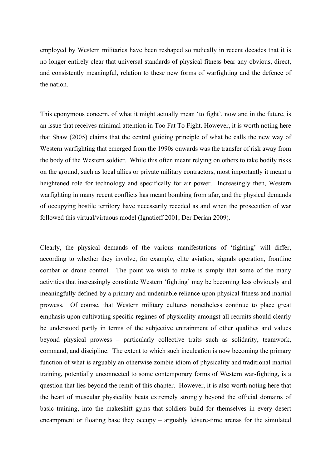employed by Western militaries have been reshaped so radically in recent decades that it is no longer entirely clear that universal standards of physical fitness bear any obvious, direct, and consistently meaningful, relation to these new forms of warfighting and the defence of the nation.

This eponymous concern, of what it might actually mean 'to fight', now and in the future, is an issue that receives minimal attention in Too Fat To Fight. However, it is worth noting here that Shaw (2005) claims that the central guiding principle of what he calls the new way of Western warfighting that emerged from the 1990s onwards was the transfer of risk away from the body of the Western soldier. While this often meant relying on others to take bodily risks on the ground, such as local allies or private military contractors, most importantly it meant a heightened role for technology and specifically for air power. Increasingly then, Western warfighting in many recent conflicts has meant bombing from afar, and the physical demands of occupying hostile territory have necessarily receded as and when the prosecution of war followed this virtual/virtuous model (Ignatieff 2001, Der Derian 2009).

Clearly, the physical demands of the various manifestations of 'fighting' will differ, according to whether they involve, for example, elite aviation, signals operation, frontline combat or drone control. The point we wish to make is simply that some of the many activities that increasingly constitute Western 'fighting' may be becoming less obviously and meaningfully defined by a primary and undeniable reliance upon physical fitness and martial prowess. Of course, that Western military cultures nonetheless continue to place great emphasis upon cultivating specific regimes of physicality amongst all recruits should clearly be understood partly in terms of the subjective entrainment of other qualities and values beyond physical prowess – particularly collective traits such as solidarity, teamwork, command, and discipline. The extent to which such inculcation is now becoming the primary function of what is arguably an otherwise zombie idiom of physicality and traditional martial training, potentially unconnected to some contemporary forms of Western war-fighting, is a question that lies beyond the remit of this chapter. However, it is also worth noting here that the heart of muscular physicality beats extremely strongly beyond the official domains of basic training, into the makeshift gyms that soldiers build for themselves in every desert encampment or floating base they occupy – arguably leisure-time arenas for the simulated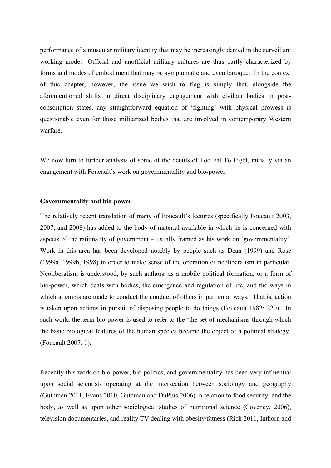performance of a muscular military identity that may be increasingly denied in the surveillant working mode. Official and unofficial military cultures are thus partly characterized by forms and modes of embodiment that may be symptomatic and even baroque. In the context of this chapter, however, the issue we wish to flag is simply that, alongside the aforementioned shifts in direct disciplinary engagement with civilian bodies in postconscription states, any straightforward equation of 'fighting' with physical prowess is questionable even for those militarized bodies that are involved in contemporary Western warfare.

We now turn to further analysis of some of the details of Too Fat To Fight, initially via an engagement with Foucault's work on governmentality and bio-power.

## **Governmentality and bio-power**

The relatively recent translation of many of Foucault's lectures (specifically Foucault 2003, 2007, and 2008) has added to the body of material available in which he is concerned with aspects of the rationality of government – usually framed as his work on 'governmentality'. Work in this area has been developed notably by people such as Dean (1999) and Rose (1999a, 1999b, 1998) in order to make sense of the operation of neoliberalism in particular. Neoliberalism is understood, by such authors, as a mobile political formation, or a form of bio-power, which deals with bodies, the emergence and regulation of life, and the ways in which attempts are made to conduct the conduct of others in particular ways. That is, action is taken upon actions in pursuit of disposing people to do things (Foucault 1982: 220). In such work, the term bio-power is used to refer to the 'the set of mechanisms through which the basic biological features of the human species became the object of a political strategy' (Foucault 2007: 1).

Recently this work on bio-power, bio-politics, and governmentality has been very influential upon social scientists operating at the intersection between sociology and geography (Guthman 2011, Evans 2010, Guthman and DuPuis 2006) in relation to food security, and the body, as well as upon other sociological studies of nutritional science (Coveney, 2006), television documentaries, and reality TV dealing with obesity/fatness (Rich 2011, Inthorn and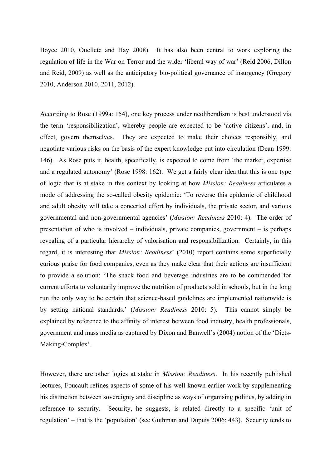Boyce 2010, Ouellete and Hay 2008). It has also been central to work exploring the regulation of life in the War on Terror and the wider 'liberal way of war' (Reid 2006, Dillon and Reid, 2009) as well as the anticipatory bio-political governance of insurgency (Gregory 2010, Anderson 2010, 2011, 2012).

According to Rose (1999a: 154), one key process under neoliberalism is best understood via the term 'responsibilization', whereby people are expected to be 'active citizens', and, in effect, govern themselves. They are expected to make their choices responsibly, and negotiate various risks on the basis of the expert knowledge put into circulation (Dean 1999: 146). As Rose puts it, health, specifically, is expected to come from 'the market, expertise and a regulated autonomy' (Rose 1998: 162). We get a fairly clear idea that this is one type of logic that is at stake in this context by looking at how *Mission: Readiness* articulates a mode of addressing the so-called obesity epidemic: 'To reverse this epidemic of childhood and adult obesity will take a concerted effort by individuals, the private sector, and various governmental and non-governmental agencies' (*Mission: Readiness* 2010: 4). The order of presentation of who is involved – individuals, private companies, government – is perhaps revealing of a particular hierarchy of valorisation and responsibilization. Certainly, in this regard, it is interesting that *Mission: Readiness*' (2010) report contains some superficially curious praise for food companies, even as they make clear that their actions are insufficient to provide a solution: 'The snack food and beverage industries are to be commended for current efforts to voluntarily improve the nutrition of products sold in schools, but in the long run the only way to be certain that science-based guidelines are implemented nationwide is by setting national standards.' (*Mission: Readiness* 2010: 5). This cannot simply be explained by reference to the affinity of interest between food industry, health professionals, government and mass media as captured by Dixon and Banwell's (2004) notion of the 'Diets-Making-Complex'.

However, there are other logics at stake in *Mission: Readiness*. In his recently published lectures, Foucault refines aspects of some of his well known earlier work by supplementing his distinction between sovereignty and discipline as ways of organising politics, by adding in reference to security. Security, he suggests, is related directly to a specific 'unit of regulation' – that is the 'population' (see Guthman and Dupuis 2006: 443). Security tends to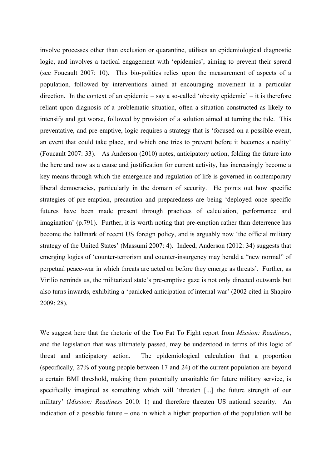involve processes other than exclusion or quarantine, utilises an epidemiological diagnostic logic, and involves a tactical engagement with 'epidemics', aiming to prevent their spread (see Foucault 2007: 10). This bio-politics relies upon the measurement of aspects of a population, followed by interventions aimed at encouraging movement in a particular direction. In the context of an epidemic – say a so-called 'obesity epidemic' – it is therefore reliant upon diagnosis of a problematic situation, often a situation constructed as likely to intensify and get worse, followed by provision of a solution aimed at turning the tide. This preventative, and pre-emptive, logic requires a strategy that is 'focused on a possible event, an event that could take place, and which one tries to prevent before it becomes a reality' (Foucault 2007: 33). As Anderson (2010) notes, anticipatory action, folding the future into the here and now as a cause and justification for current activity, has increasingly become a key means through which the emergence and regulation of life is governed in contemporary liberal democracies, particularly in the domain of security. He points out how specific strategies of pre-emption, precaution and preparedness are being 'deployed once specific futures have been made present through practices of calculation, performance and imagination' (p.791). Further, it is worth noting that pre-emption rather than deterrence has become the hallmark of recent US foreign policy, and is arguably now 'the official military strategy of the United States' (Massumi 2007: 4). Indeed, Anderson (2012: 34) suggests that emerging logics of 'counter-terrorism and counter-insurgency may herald a "new normal" of perpetual peace-war in which threats are acted on before they emerge as threats'. Further, as Virilio reminds us, the militarized state's pre-emptive gaze is not only directed outwards but also turns inwards, exhibiting a 'panicked anticipation of internal war' (2002 cited in Shapiro 2009: 28).

We suggest here that the rhetoric of the Too Fat To Fight report from *Mission: Readiness*, and the legislation that was ultimately passed, may be understood in terms of this logic of threat and anticipatory action. The epidemiological calculation that a proportion (specifically, 27% of young people between 17 and 24) of the current population are beyond a certain BMI threshold, making them potentially unsuitable for future military service, is specifically imagined as something which will 'threaten [...] the future strength of our military' (*Mission: Readiness* 2010: 1) and therefore threaten US national security. An indication of a possible future – one in which a higher proportion of the population will be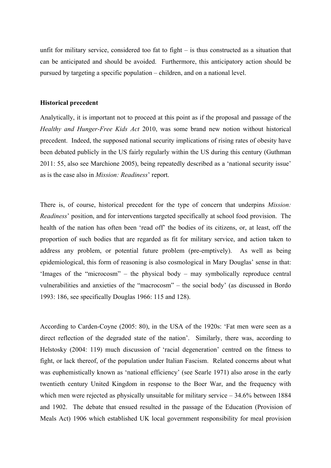unfit for military service, considered too fat to fight – is thus constructed as a situation that can be anticipated and should be avoided. Furthermore, this anticipatory action should be pursued by targeting a specific population – children, and on a national level.

### **Historical precedent**

Analytically, it is important not to proceed at this point as if the proposal and passage of the *Healthy and Hunger-Free Kids Act* 2010, was some brand new notion without historical precedent. Indeed, the supposed national security implications of rising rates of obesity have been debated publicly in the US fairly regularly within the US during this century (Guthman 2011: 55, also see Marchione 2005), being repeatedly described as a 'national security issue' as is the case also in *Mission: Readiness*' report.

There is, of course, historical precedent for the type of concern that underpins *Mission: Readiness*' position, and for interventions targeted specifically at school food provision. The health of the nation has often been 'read off' the bodies of its citizens, or, at least, off the proportion of such bodies that are regarded as fit for military service, and action taken to address any problem, or potential future problem (pre-emptively). As well as being epidemiological, this form of reasoning is also cosmological in Mary Douglas' sense in that: 'Images of the "microcosm" – the physical body – may symbolically reproduce central vulnerabilities and anxieties of the "macrocosm" – the social body' (as discussed in Bordo 1993: 186, see specifically Douglas 1966: 115 and 128).

According to Carden-Coyne (2005: 80), in the USA of the 1920s: 'Fat men were seen as a direct reflection of the degraded state of the nation'. Similarly, there was, according to Helstosky (2004: 119) much discussion of 'racial degeneration' centred on the fitness to fight, or lack thereof, of the population under Italian Fascism. Related concerns about what was euphemistically known as 'national efficiency' (see Searle 1971) also arose in the early twentieth century United Kingdom in response to the Boer War, and the frequency with which men were rejected as physically unsuitable for military service – 34.6% between 1884 and 1902. The debate that ensued resulted in the passage of the Education (Provision of Meals Act) 1906 which established UK local government responsibility for meal provision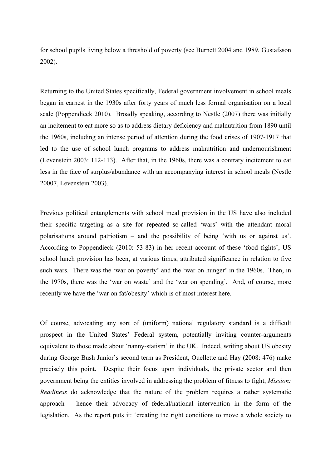for school pupils living below a threshold of poverty (see Burnett 2004 and 1989, Gustafsson 2002).

Returning to the United States specifically, Federal government involvement in school meals began in earnest in the 1930s after forty years of much less formal organisation on a local scale (Poppendieck 2010). Broadly speaking, according to Nestle (2007) there was initially an incitement to eat more so as to address dietary deficiency and malnutrition from 1890 until the 1960s, including an intense period of attention during the food crises of 1907-1917 that led to the use of school lunch programs to address malnutrition and undernourishment (Levenstein 2003: 112-113). After that, in the 1960s, there was a contrary incitement to eat less in the face of surplus/abundance with an accompanying interest in school meals (Nestle 20007, Levenstein 2003).

Previous political entanglements with school meal provision in the US have also included their specific targeting as a site for repeated so-called 'wars' with the attendant moral polarisations around patriotism – and the possibility of being 'with us or against us'. According to Poppendieck (2010: 53-83) in her recent account of these 'food fights', US school lunch provision has been, at various times, attributed significance in relation to five such wars. There was the 'war on poverty' and the 'war on hunger' in the 1960s. Then, in the 1970s, there was the 'war on waste' and the 'war on spending'. And, of course, more recently we have the 'war on fat/obesity' which is of most interest here.

Of course, advocating any sort of (uniform) national regulatory standard is a difficult prospect in the United States' Federal system, potentially inviting counter-arguments equivalent to those made about 'nanny-statism' in the UK. Indeed, writing about US obesity during George Bush Junior's second term as President, Ouellette and Hay (2008: 476) make precisely this point. Despite their focus upon individuals, the private sector and then government being the entities involved in addressing the problem of fitness to fight, *Mission: Readiness* do acknowledge that the nature of the problem requires a rather systematic approach – hence their advocacy of federal/national intervention in the form of the legislation. As the report puts it: 'creating the right conditions to move a whole society to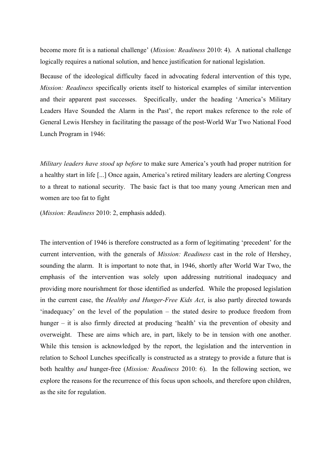become more fit is a national challenge' (*Mission: Readiness* 2010: 4). A national challenge logically requires a national solution, and hence justification for national legislation.

Because of the ideological difficulty faced in advocating federal intervention of this type, *Mission: Readiness* specifically orients itself to historical examples of similar intervention and their apparent past successes. Specifically, under the heading 'America's Military Leaders Have Sounded the Alarm in the Past', the report makes reference to the role of General Lewis Hershey in facilitating the passage of the post-World War Two National Food Lunch Program in 1946:

*Military leaders have stood up before* to make sure America's youth had proper nutrition for a healthy start in life [...] Once again, America's retired military leaders are alerting Congress to a threat to national security. The basic fact is that too many young American men and women are too fat to fight

(*Mission: Readiness* 2010: 2, emphasis added).

The intervention of 1946 is therefore constructed as a form of legitimating 'precedent' for the current intervention, with the generals of *Mission: Readiness* cast in the role of Hershey, sounding the alarm. It is important to note that, in 1946, shortly after World War Two, the emphasis of the intervention was solely upon addressing nutritional inadequacy and providing more nourishment for those identified as underfed. While the proposed legislation in the current case, the *Healthy and Hunger-Free Kids Act*, is also partly directed towards 'inadequacy' on the level of the population – the stated desire to produce freedom from hunger – it is also firmly directed at producing 'health' via the prevention of obesity and overweight. These are aims which are, in part, likely to be in tension with one another. While this tension is acknowledged by the report, the legislation and the intervention in relation to School Lunches specifically is constructed as a strategy to provide a future that is both healthy *and* hunger-free (*Mission: Readiness* 2010: 6). In the following section, we explore the reasons for the recurrence of this focus upon schools, and therefore upon children, as the site for regulation.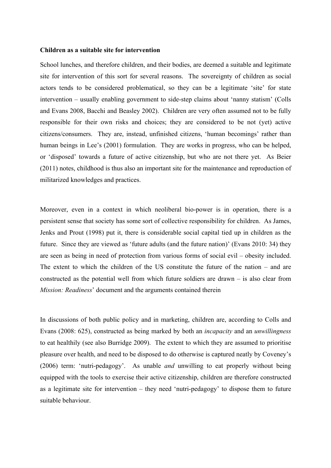#### **Children as a suitable site for intervention**

School lunches, and therefore children, and their bodies, are deemed a suitable and legitimate site for intervention of this sort for several reasons. The sovereignty of children as social actors tends to be considered problematical, so they can be a legitimate 'site' for state intervention – usually enabling government to side-step claims about 'nanny statism' (Colls and Evans 2008, Bacchi and Beasley 2002). Children are very often assumed not to be fully responsible for their own risks and choices; they are considered to be not (yet) active citizens/consumers. They are, instead, unfinished citizens, 'human becomings' rather than human beings in Lee's (2001) formulation. They are works in progress, who can be helped, or 'disposed' towards a future of active citizenship, but who are not there yet. As Beier (2011) notes, childhood is thus also an important site for the maintenance and reproduction of militarized knowledges and practices.

Moreover, even in a context in which neoliberal bio-power is in operation, there is a persistent sense that society has some sort of collective responsibility for children. As James, Jenks and Prout (1998) put it, there is considerable social capital tied up in children as the future. Since they are viewed as 'future adults (and the future nation)' (Evans 2010: 34) they are seen as being in need of protection from various forms of social evil – obesity included. The extent to which the children of the US constitute the future of the nation – and are constructed as the potential well from which future soldiers are drawn – is also clear from *Mission: Readiness*' document and the arguments contained therein

In discussions of both public policy and in marketing, children are, according to Colls and Evans (2008: 625), constructed as being marked by both an *incapacity* and an *unwillingness* to eat healthily (see also Burridge 2009). The extent to which they are assumed to prioritise pleasure over health, and need to be disposed to do otherwise is captured neatly by Coveney's (2006) term: 'nutri-pedagogy'. As unable *and* unwilling to eat properly without being equipped with the tools to exercise their active citizenship, children are therefore constructed as a legitimate site for intervention – they need 'nutri-pedagogy' to dispose them to future suitable behaviour.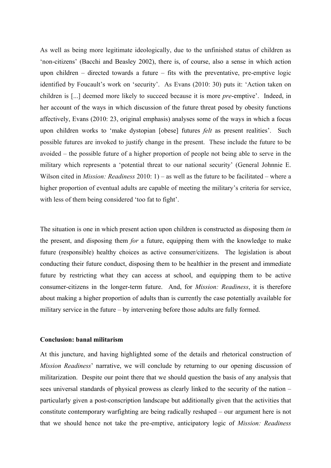As well as being more legitimate ideologically, due to the unfinished status of children as 'non-citizens' (Bacchi and Beasley 2002), there is, of course, also a sense in which action upon children – directed towards a future – fits with the preventative, pre-emptive logic identified by Foucault's work on 'security'. As Evans (2010: 30) puts it: 'Action taken on children is [...] deemed more likely to succeed because it is more *pre*-emptive'. Indeed, in her account of the ways in which discussion of the future threat posed by obesity functions affectively, Evans (2010: 23, original emphasis) analyses some of the ways in which a focus upon children works to 'make dystopian [obese] futures *felt* as present realities'. Such possible futures are invoked to justify change in the present. These include the future to be avoided – the possible future of a higher proportion of people not being able to serve in the military which represents a 'potential threat to our national security' (General Johnnie E. Wilson cited in *Mission: Readiness* 2010: 1) – as well as the future to be facilitated – where a higher proportion of eventual adults are capable of meeting the military's criteria for service, with less of them being considered 'too fat to fight'.

The situation is one in which present action upon children is constructed as disposing them *in* the present, and disposing them *for* a future, equipping them with the knowledge to make future (responsible) healthy choices as active consumer/citizens. The legislation is about conducting their future conduct, disposing them to be healthier in the present and immediate future by restricting what they can access at school, and equipping them to be active consumer-citizens in the longer-term future. And, for *Mission: Readiness*, it is therefore about making a higher proportion of adults than is currently the case potentially available for military service in the future – by intervening before those adults are fully formed.

# **Conclusion: banal militarism**

At this juncture, and having highlighted some of the details and rhetorical construction of *Mission Readiness*' narrative, we will conclude by returning to our opening discussion of militarization. Despite our point there that we should question the basis of any analysis that sees universal standards of physical prowess as clearly linked to the security of the nation – particularly given a post-conscription landscape but additionally given that the activities that constitute contemporary warfighting are being radically reshaped – our argument here is not that we should hence not take the pre-emptive, anticipatory logic of *Mission: Readiness*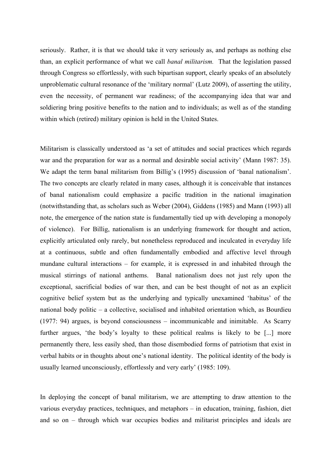seriously. Rather, it is that we should take it very seriously as, and perhaps as nothing else than, an explicit performance of what we call *banal militarism.* That the legislation passed through Congress so effortlessly, with such bipartisan support, clearly speaks of an absolutely unproblematic cultural resonance of the 'military normal' (Lutz 2009), of asserting the utility, even the necessity, of permanent war readiness; of the accompanying idea that war and soldiering bring positive benefits to the nation and to individuals; as well as of the standing within which (retired) military opinion is held in the United States.

Militarism is classically understood as 'a set of attitudes and social practices which regards war and the preparation for war as a normal and desirable social activity' (Mann 1987: 35). We adapt the term banal militarism from Billig's (1995) discussion of 'banal nationalism'. The two concepts are clearly related in many cases, although it is conceivable that instances of banal nationalism could emphasize a pacific tradition in the national imagination (notwithstanding that, as scholars such as Weber (2004), Giddens (1985) and Mann (1993) all note, the emergence of the nation state is fundamentally tied up with developing a monopoly of violence). For Billig, nationalism is an underlying framework for thought and action, explicitly articulated only rarely, but nonetheless reproduced and inculcated in everyday life at a continuous, subtle and often fundamentally embodied and affective level through mundane cultural interactions – for example, it is expressed in and inhabited through the musical stirrings of national anthems. Banal nationalism does not just rely upon the exceptional, sacrificial bodies of war then, and can be best thought of not as an explicit cognitive belief system but as the underlying and typically unexamined 'habitus' of the national body politic – a collective, socialised and inhabited orientation which, as Bourdieu (1977: 94) argues, is beyond consciousness – incommunicable and inimitable. As Scarry further argues, 'the body's loyalty to these political realms is likely to be [...] more permanently there, less easily shed, than those disembodied forms of patriotism that exist in verbal habits or in thoughts about one's national identity. The political identity of the body is usually learned unconsciously, effortlessly and very early' (1985: 109).

In deploying the concept of banal militarism, we are attempting to draw attention to the various everyday practices, techniques, and metaphors – in education, training, fashion, diet and so on – through which war occupies bodies and militarist principles and ideals are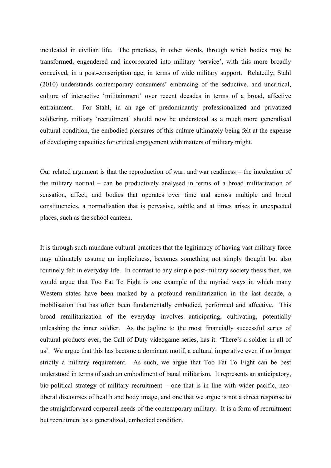inculcated in civilian life. The practices, in other words, through which bodies may be transformed, engendered and incorporated into military 'service', with this more broadly conceived, in a post-conscription age, in terms of wide military support. Relatedly, Stahl (2010) understands contemporary consumers' embracing of the seductive, and uncritical, culture of interactive 'militainment' over recent decades in terms of a broad, affective entrainment. For Stahl, in an age of predominantly professionalized and privatized soldiering, military 'recruitment' should now be understood as a much more generalised cultural condition, the embodied pleasures of this culture ultimately being felt at the expense of developing capacities for critical engagement with matters of military might.

Our related argument is that the reproduction of war, and war readiness – the inculcation of the military normal – can be productively analysed in terms of a broad militarization of sensation, affect, and bodies that operates over time and across multiple and broad constituencies, a normalisation that is pervasive, subtle and at times arises in unexpected places, such as the school canteen.

It is through such mundane cultural practices that the legitimacy of having vast military force may ultimately assume an implicitness, becomes something not simply thought but also routinely felt in everyday life. In contrast to any simple post-military society thesis then, we would argue that Too Fat To Fight is one example of the myriad ways in which many Western states have been marked by a profound remilitarization in the last decade, a mobilisation that has often been fundamentally embodied, performed and affective. This broad remilitarization of the everyday involves anticipating, cultivating, potentially unleashing the inner soldier. As the tagline to the most financially successful series of cultural products ever, the Call of Duty videogame series, has it: 'There's a soldier in all of us'. We argue that this has become a dominant motif, a cultural imperative even if no longer strictly a military requirement. As such, we argue that Too Fat To Fight can be best understood in terms of such an embodiment of banal militarism. It represents an anticipatory, bio-political strategy of military recruitment – one that is in line with wider pacific, neoliberal discourses of health and body image, and one that we argue is not a direct response to the straightforward corporeal needs of the contemporary military. It is a form of recruitment but recruitment as a generalized, embodied condition.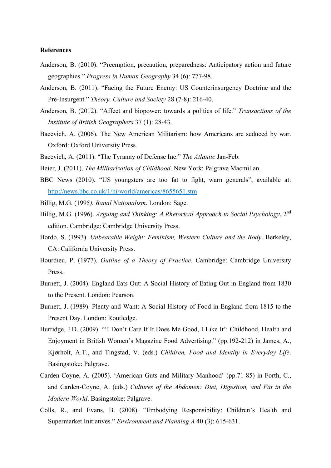#### **References**

- Anderson, B. (2010). "Preemption, precaution, preparedness: Anticipatory action and future geographies." *Progress in Human Geography* 34 (6): 777-98.
- Anderson, B. (2011). "Facing the Future Enemy: US Counterinsurgency Doctrine and the Pre-Insurgent." *Theory, Culture and Society* 28 (7-8): 216-40.
- Anderson, B. (2012). "Affect and biopower: towards a politics of life." *Transactions of the Institute of British Geographers* 37 (1): 28-43.
- Bacevich, A. (2006). The New American Militarism: how Americans are seduced by war. Oxford: Oxford University Press.
- Bacevich, A. (2011). "The Tyranny of Defense Inc." *The Atlantic* Jan-Feb.
- Beier, J. (2011). *The Militarization of Childhood*. New York: Palgrave Macmillan.
- BBC News (2010). "US youngsters are too fat to fight, warn generals", available at: http://news.bbc.co.uk/1/hi/world/americas/8655651.stm
- Billig, M.G. (1995*). Banal Nationalism*. London: Sage.
- Billig, M.G. (1996). *Arguing and Thinking: A Rhetorical Approach to Social Psychology*, 2nd edition. Cambridge: Cambridge University Press.
- Bordo, S. (1993). *Unbearable Weight: Feminism, Western Culture and the Body*. Berkeley, CA: California University Press.
- Bourdieu, P. (1977). *Outline of a Theory of Practice*. Cambridge: Cambridge University Press.
- Burnett, J. (2004). England Eats Out: A Social History of Eating Out in England from 1830 to the Present. London: Pearson.
- Burnett, J. (1989). Plenty and Want: A Social History of Food in England from 1815 to the Present Day. London: Routledge.
- Burridge, J.D. (2009). "'I Don't Care If It Does Me Good, I Like It': Childhood, Health and Enjoyment in British Women's Magazine Food Advertising." (pp.192-212) in James, A., Kjørholt, A.T., and Tingstad, V. (eds.) *Children, Food and Identity in Everyday Life*. Basingstoke: Palgrave.
- Carden-Coyne, A. (2005). 'American Guts and Military Manhood' (pp.71-85) in Forth, C., and Carden-Coyne, A. (eds.) *Cultures of the Abdomen: Diet, Digestion, and Fat in the Modern World*. Basingstoke: Palgrave.
- Colls, R., and Evans, B. (2008). "Embodying Responsibility: Children's Health and Supermarket Initiatives." *Environment and Planning A* 40 (3): 615-631.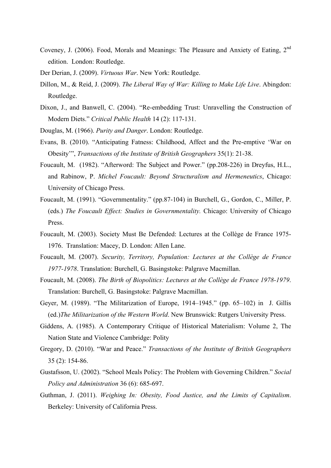- Coveney, J. (2006). Food, Morals and Meanings: The Pleasure and Anxiety of Eating, 2<sup>nd</sup> edition. London: Routledge.
- Der Derian, J. (2009). *Virtuous War*. New York: Routledge.
- Dillon, M., & Reid, J. (2009). *The Liberal Way of War: Killing to Make Life Live*. Abingdon: Routledge.
- Dixon, J., and Banwell, C. (2004). "Re-embedding Trust: Unravelling the Construction of Modern Diets." *Critical Public Health* 14 (2): 117-131.
- Douglas, M. (1966). *Purity and Danger*. London: Routledge.
- Evans, B. (2010). "Anticipating Fatness: Childhood, Affect and the Pre-emptive 'War on Obesity'", *Transactions of the Institute of British Geographers* 35(1): 21-38.
- Foucault, M. (1982). "Afterword: The Subject and Power." (pp.208-226) in Dreyfus, H.L., and Rabinow, P. *Michel Foucault: Beyond Structuralism and Hermeneutics*, Chicago: University of Chicago Press.
- Foucault, M. (1991). "Governmentality." (pp.87-104) in Burchell, G., Gordon, C., Miller, P. (eds.) *The Foucault Effect: Studies in Governmentality.* Chicago: University of Chicago **Press**.
- Foucault, M. (2003). Society Must Be Defended: Lectures at the Collège de France 1975- 1976. Translation: Macey, D. London: Allen Lane.
- Foucault, M. (2007). *Security, Territory, Population: Lectures at the Collège de France 1977-1978*. Translation: Burchell, G. Basingstoke: Palgrave Macmillan.
- Foucault, M. (2008). *The Birth of Biopolitics: Lectures at the Collège de France 1978-1979*. Translation: Burchell, G. Basingstoke: Palgrave Macmillan.
- Geyer, M. (1989). "The Militarization of Europe, 1914–1945." (pp. 65–102) in J. Gillis (ed.)*The Militarization of the Western World*. New Brunswick: Rutgers University Press.
- Giddens, A. (1985). A Contemporary Critique of Historical Materialism: Volume 2, The Nation State and Violence Cambridge: Polity
- Gregory, D. (2010). "War and Peace." *Transactions of the Institute of British Geographers* 35 (2): 154-86.
- Gustafsson, U. (2002). "School Meals Policy: The Problem with Governing Children." *Social Policy and Administration* 36 (6): 685-697.
- Guthman, J. (2011). *Weighing In: Obesity, Food Justice, and the Limits of Capitalism*. Berkeley: University of California Press.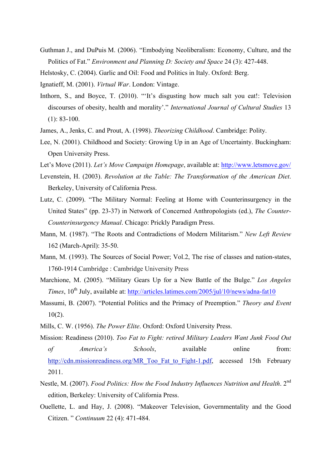- Guthman J., and DuPuis M. (2006). "Embodying Neoliberalism: Economy, Culture, and the Politics of Fat." *Environment and Planning D: Society and Space* 24 (3): 427-448.
- Helstosky, C. (2004). Garlic and Oil: Food and Politics in Italy. Oxford: Berg.
- Ignatieff, M. (2001). *Virtual War*. London: Vintage.
- Inthorn, S., and Boyce, T. (2010). "'It's disgusting how much salt you eat!: Television discourses of obesity, health and morality'." *International Journal of Cultural Studies* 13 (1): 83-100.
- James, A., Jenks, C. and Prout, A. (1998). *Theorizing Childhood*. Cambridge: Polity.
- Lee, N. (2001). Childhood and Society: Growing Up in an Age of Uncertainty. Buckingham: Open University Press.
- Let's Move (2011). *Let's Move Campaign Homepage*, available at: http://www.letsmove.gov/
- Levenstein, H. (2003). *Revolution at the Table: The Transformation of the American Diet*. Berkeley, University of California Press.
- Lutz, C. (2009). "The Military Normal: Feeling at Home with Counterinsurgency in the United States" (pp. 23-37) in Network of Concerned Anthropologists (ed.), *The Counter-Counterinsurgency Manual*. Chicago: Prickly Paradigm Press.
- Mann, M. (1987). "The Roots and Contradictions of Modern Militarism." *New Left Review* 162 (March-April): 35-50.
- Mann, M. (1993). The Sources of Social Power; Vol.2, The rise of classes and nation-states, 1760-1914 Cambridge : Cambridge University Press
- Marchione, M. (2005). "Military Gears Up for a New Battle of the Bulge." *Los Angeles Times*, 10<sup>th</sup> July, available at: http://articles.latimes.com/2005/jul/10/news/adna-fat10
- Massumi, B. (2007). "Potential Politics and the Primacy of Preemption." *Theory and Event* 10(2).
- Mills, C. W. (1956). *The Power Elite*. Oxford: Oxford University Press.
- Mission: Readiness (2010). *Too Fat to Fight: retired Military Leaders Want Junk Food Out of America's Schools*, available online from: http://cdn.missionreadiness.org/MR\_Too\_Fat\_to\_Fight-1.pdf, accessed 15th February 2011.
- Nestle, M. (2007). *Food Politics: How the Food Industry Influences Nutrition and Health*. 2nd edition, Berkeley: University of California Press.
- Ouellette, L. and Hay, J. (2008). "Makeover Television, Governmentality and the Good Citizen. " *Continuum* 22 (4): 471-484.